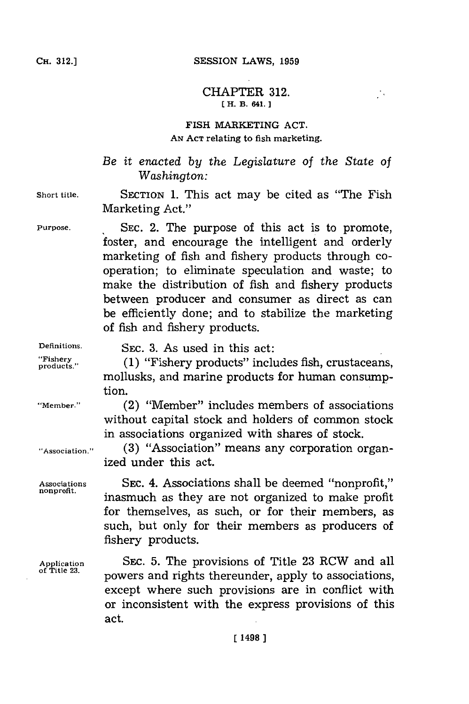## **CH. 12.]SESSION LAWS, 1959**

## CHAPTER **312. [ H. B. 641.]1**

j,

## **FISH MARKETING ACT. AN ACT relating to fish marketing.**

*Be it enacted by the Legislature of the State of Washington:*

**Short title. SECTION 1.** This act may be cited as "The Fish Marketing Act."

**Purpose. SEC.** 2. The purpose of this act is to promote, foster, and encourage the intelligent and orderly marketing of fish and fishery products through cooperation; to eliminate speculation and waste; to make the distribution of fish and fishery products between producer and consumer as direct as can be efficiently done; and to stabilize the marketing of fish and fishery products.

**Definitions. SEC. 3.** As used in this act:

produher. **(1)** "Fishery products" includes fish, crustaceans, mollusks, and marine products for human consumption.

**"Member."** (2) "Member" includes members of associations without capital stock and holders of common stock in associations organized with shares of stock.

**"Association." (3)** "Association" means any corporation organized under this act.

**Associations SEC.** 4. Associations shall be deemed "nonprofit," inasmuch as they are not organized to make profit for themselves, as such, or for their members, as such, but only for their members as producers of fishery products.

**Application** SEC. **5.** The provisions of Title **23** RCW and all powers and rights thereunder, apply to associations, except where such provisions are in conflict with or inconsistent with the express provisions of this act.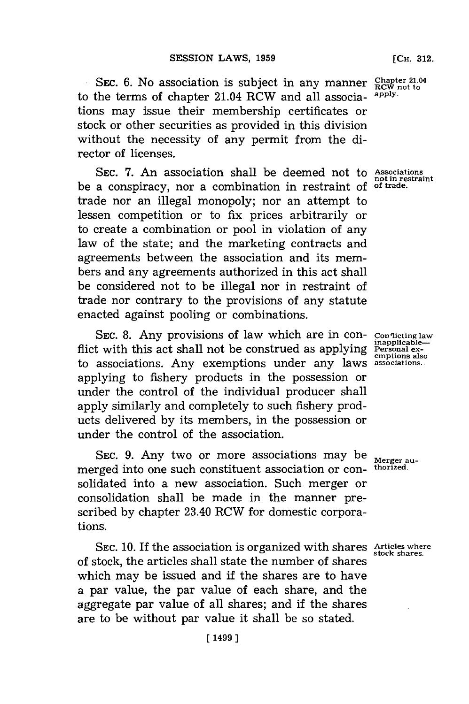SEC. 6. No association is subject in any manner **Chapter 21.04** the terms of chapter 21.04 **RCW** and all association apply. to the terms of chapter 21.04 RCW and all associations, may issue their membership certificates or stock or other securities as provided in this division without the necessity of any permit from the director of licenses.

SEC. 7. An association shall be deemed not to Associations be a conspiracy, nor a combination in restraint of trade nor an illegal monopoly; nor an attempt to lessen competition or to fix prices arbitrarily or to create a combination or pool in violation of any law of the state; and the marketing contracts and agreements between the association and its members and any agreements authorized in this act shall be considered not to be illegal nor in restraint of trade nor contrary to the provisions of any statute enacted against pooling or combinations.

**SEC. 8.** Any provisions of law which are in conflict with this act shall not be construed as applying Personal exto associations. Any exemptions under any laws **associations.** applying to fishery products in the possession or under the control of the individual producer shall apply similarly and completely to such fishery products delivered **by** its members, in the possession or under the control of the association.

SEC. 9. Any two or more associations may be  $_{\text{Merger au-}}$ merged into one such constituent association or con- **thorized.** solidated into a new association. Such merger or consolidation shall be made in the manner prescribed **by** chapter 23.40 RCW for domestic corporations.

SEC. 10. If the association is organized with shares Articles where of stock, the articles shall state the number of shares which may be issued and if the shares are to have a par value, the par value of each share, and the aggregate par value of all shares; and if the shares are to be without par value it shall be so stated.

**not in restraint of trade.**

**Conflicting law inapplicable-**

**stock shares.**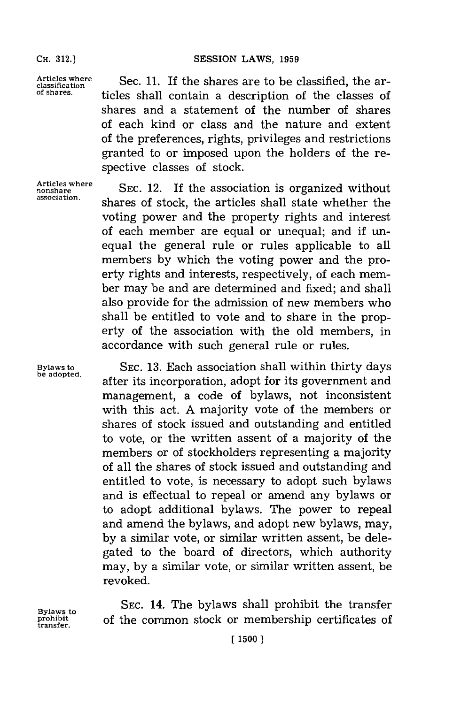**Articles where** classification **of shares.**

Sec. **11.** If the shares are to be classified, the articles shall contain a description of the classes of shares and a statement of the number of shares of each kind or class and the nature and extent of the preferences, rights, privileges and restrictions granted to or imposed upon the holders of the respective classes of stock.

**Articles where nonshare association.**

**SEC.** 12. If the association is organized without shares of stock, the articles shall state whether the voting power and the property rights and interest of each member are equal or unequal; and if unequal the general rule or rules applicable to all members **by** which the voting power and the proerty rights and interests, respectively, of each member may be and are determined and fixed; and shall also provide for the admission of new members who shall be entitled to vote and to share in the property of the association with the old members, in accordance with such general rule or rules.

**Bylaws to SEC. 13.** Each association shall within thirty days **be adopted,** after its incorporation, adopt for its government and management, a code of bylaws, not inconsistent with this act. **A** majority vote of the members or shares of stock issued and outstanding and entitled to vote, or the written assent of a majority of the members or of stockholders representing a majority of all the shares of stock issued and outstanding and entitled to vote, is necessary to adopt such bylaws and is effectual to repeal or amend any bylaws or to adopt additional bylaws. The power to repeal and amend the bylaws, and adopt new bylaws, may, **by** a similar vote, or similar written assent, be delegated to the board of directors, which authority may, **by** a similar vote, or similar written assent, be revoked.

Bylaws to **SEC. 14. The bylaws shall prohibit the transfer**<br>prohibit of the common stock or membership certificates of **prohibit** of the common stock or membership certificates of **transfer.**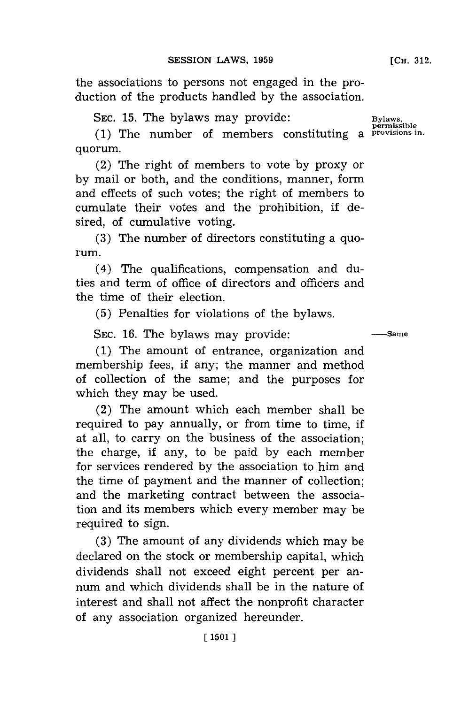the associations to persons not engaged in the production of the products handled **by** the association.

SEC. 15. The bylaws may provide:

**(1)** The number of members constituting a **provisions in.** quorum.

(2) The right of members to vote **by** proxy or **by** mail or both, and the conditions, manner, form and effects of such votes; the right of members to cumulate their votes and the prohibition, if desired, of cumulative voting.

**(3)** The number of directors constituting a quorum.

(4) The qualifications, compensation and duties and term of office of directors and officers and the time of their election.

**(5)** Penalties for violations of the bylaws.

SEC. 16. The bylaws may provide:  $\frac{S_{\text{EC}}}{S_{\text{S}}}-\frac{S_{\text{S}}}{S_{\text{S}}}-\frac{1}{S_{\text{S}}-S_{\text{S}}}{S_{\text{S}}}-\frac{1}{S_{\text{S}}-S_{\text{S}}}{S_{\text{S}}}-\frac{1}{S_{\text{S}}-S_{\text{S}}}{S_{\text{S}}}-\frac{1}{S_{\text{S}}-S_{\text{S}}}{S_{\text{S}}}-\frac{1}{S_{\text{S}}-S_{\text{S}}}{S_{\text{S}}}-\frac{1}{$ 

**(1)** The amount of entrance, organization and membership fees, if any; the manner and method of collection of the same; and the purposes for which they may be used.

(2) The amount which each member shall be required to pay annually, or from time to time, if at all, to carry on the business of the association; the charge, if any, to be paid **by** each member for services rendered **by** the association to him and the time of payment and the manner of collection; and the marketing contract between the association and its members which every member may be required to sign.

**(3)** The amount of any dividends which may be declared on the stock or membership capital, which dividends shall not exceed eight percent per annum and which dividends shall be in the nature of interest and shall not affect the nonprofit character of any association organized hereunder.

**permissible**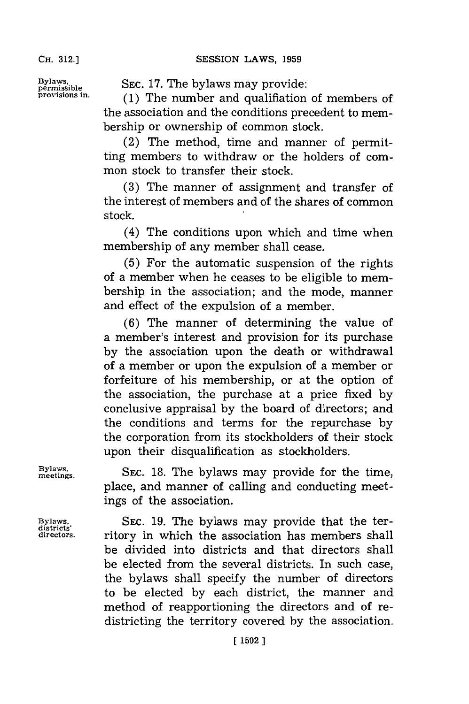Bylaws, **SEC. 17. The bylaws may provide:** 

**provisions in. (1)** The number and qualifiation of members of the association and the conditions precedent to membership or ownership of common stock.

> (2) The method, time and manner of permitting members to withdraw or the holders of common stock to transfer their stock.

> **(3)** The manner of assignment and transfer of the interest of members and of the shares of common stock.

> (4) The conditions upon which and time when membership of any member shall cease.

> **(5)** For the automatic suspension of the rights of a member when he ceases to be eligible to membership in the association; and the mode, manner and effect of the expulsion of a member.

> **(6)** The manner of determining the value of a member's interest and provision for its purchase **by** the association upon the death or withdrawal of a member or upon the expulsion of a member or forfeiture of his membership, or at the option of the association, the purchase at a price fixed **by** conclusive appraisal **by** the board of directors; and the conditions and terms for the repurchase **by** the corporation from its stockholders of their stock upon their disqualification as stockholders.

Bylaws, SEC. 18. The bylaws may provide for the time, place, and manner of calling and conducting meetings of the association.

**Bylaws, SEC. 19.** The bylaws may provide that the ter**directors.** ritory in which the association has members shall be divided into districts and that directors shall be elected from the several districts. In such case, the bylaws shall specify the number of directors to be elected **by** each district, the manner and method of reapportioning the directors and of redistricting the territory covered **by** the association.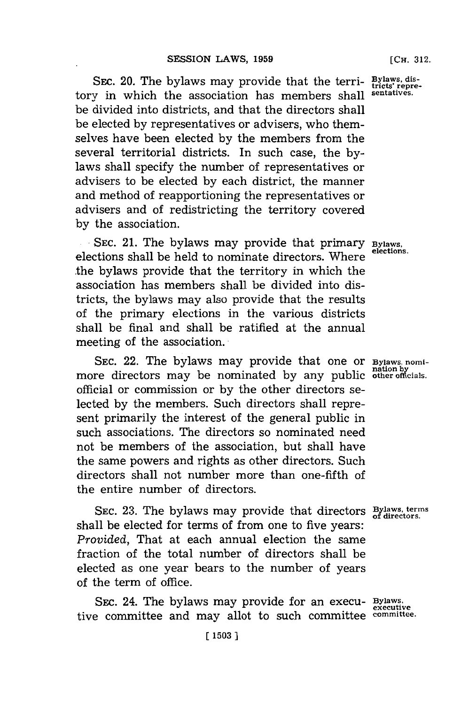SEc. 20. The bylaws may provide that the tern- **Bylaws, dis- tricts' repre**tory in which the association has members shall **sentatives.** be divided into districts, and that the directors shall be elected **by** representatives or advisers, who themselves have been elected **by** the members from the several territorial districts. In such case, the **by**laws shall specify the number of representatives or advisers to be elected **by** each district, the manner and method of reapportioning the representatives or advisers and of redistricting the territory covered **by** the association.

SEC. 21. The bylaws may provide that primary **Bylaws**, elections shall be held to nominate directors. Where **elections.** the bylaws provide that the territory in which the association has members shall be divided into districts, the bylaws may also provide that the results of the primary elections in the various districts shall be final and shall be ratified at the annual meeting of the association.

**SEC.** 22. The bylaws may provide that one or **Bylaws, nomi**more directors may be nominated by any public other officials. official or commission or **by** the other directors selected **by** the members. Such directors shall represent primarily the interest of the general public in such associations. The directors so nominated need not be members of the association, but shall have the same powers and rights as other directors. Such directors shall not number more than one-fifth of the entire number of directors.

SEC. 23. The bylaws may provide that directors **Bylaws, terms** shall be elected for terms of from one to five years: *Provided,* That at each annual election the same fraction of the total number of directors shall be elected as one year bears to the number of years of the term of office.

SEc. 24. The bylaws may provide for an execu- **Bylaws.** tive committee and may allot to such committee **committee.**

**executive**

**[(15031**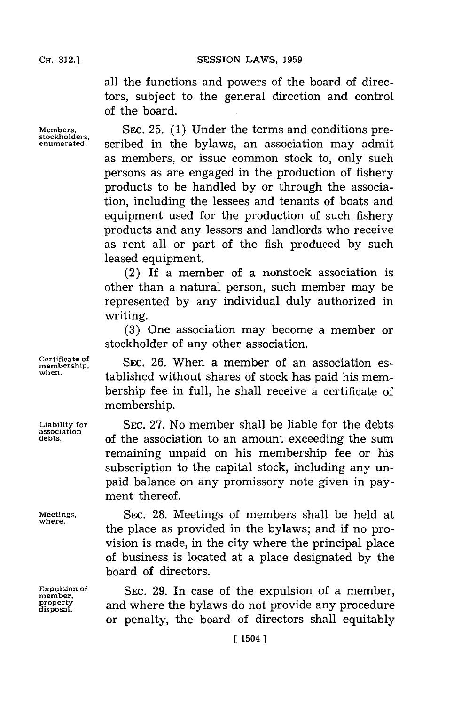CH. **12.]SESSION** LAWS, **1959**

all the functions and powers of the board of directors, subject to the general direction and control of the board.

Members. **SEC. 25.** (1) Under the terms and conditions pre-<br> **stockholders.** scribed in the bylaws, an association may admit as members, or issue common stock to, only such persons as are engaged in the production of fishery products to be handled **by** or through the association, including the lessees and tenants of boats and equipment used for the production of such fishery products and any lessors and landlords who receive as rent all or part of the fish produced **by** such leased equipment.

> (2) If a member of a nonstock association is other than a natural person, such member may be represented **by** any individual duly authorized in writing.

> **(3)** One association may become a member or stockholder of any other association.

**membership,** SEC. **26.** When a member of an association established without shares of stock has paid his membership fee in full, he shall receive a certificate of membership.

Liability for **SEC. 27. No member shall be liable for the debts** of the association to an amount exceeding the sum remaining unpaid on his membership fee or his subscription to the capital stock, including any unpaid balance on any promissory note given in payment thereof.

**Meetings, SEC. 28.** Meetings of members shall be held at the place as provided in the bylaws; and if no provision is made, in the city where the principal place of business is located at a place designated **by** the board of directors.

**Expulsion of** SEC. 29. In case of the expulsion of a mem member,<br>
<u>property</u><br>
disposal. and where the bylaws do not provide any procedure or penalty, the board of directors shall equitably

**Certificate of**

**association**

**where.**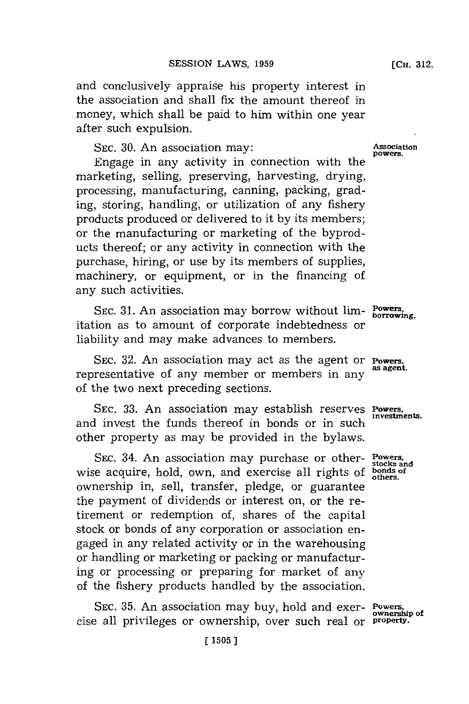and conclusively appraise his property interest in the association and shall fix the amount thereof in money, which shall be paid to him within one year after such expulsion.

SEC. 30. An association may: **Association** has Association

Engage in any activity in connection with the marketing, selling, preserving, harvesting, drying, processing, manufacturing, canning, packing, grading, storing, handling, or utilization of any fishery products produced or delivered to it **by** its members; or the manufacturing or marketing of the byproducts thereof; or any activity in connection with the purchase, hiring, or use **by** its members of supplies, machinery, or equipment, or in the financing of any such activities.

**SEC. 31.** An association may borrow without lim- **Powers. borrowing.** itation as to amount of corporate indebtedness or liability and may make advances to members.

SEC. **32.** An association may act as the agent or **Powers,** representative of any member or members in any of the two next preceding sections.

**SEC. 33.** An association may establish reserves **powers.** and invest the funds thereof in bonds or in such other property as may be provided in the bylaws.

SEC. 34. An association may purchase or other- **Powers. stocks and** wise acquire, hold, own, and exercise all rights of **bonds** of **others**. ownership in, sell, transfer, pledge, or guarantee the payment of dividends or interest on, or the retirement or redemption of, shares of the capital stock or bonds of any corporation or association engaged in any related activity or in the warehousing or handling or marketing or packing or manufacturing or processing or preparing for market of any of the fishery products handled **by** the association.

SEC. 35. An association may buy, hold and exer- **Powers**, ownership of cise all privileges or ownership, over such real or **property.**

**[CH. 312.**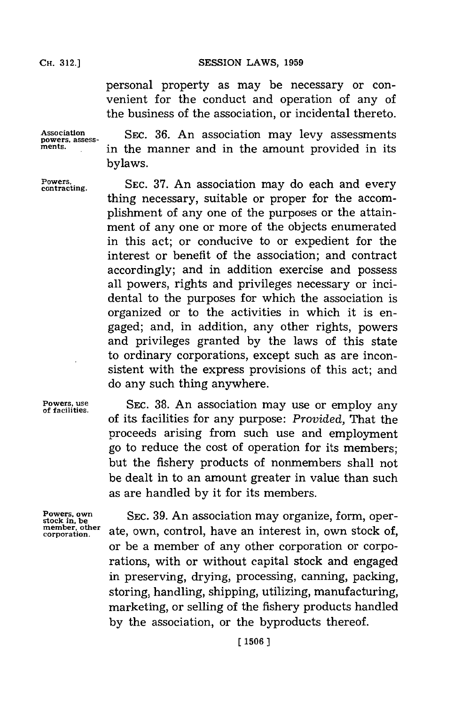SESSION LAWS, 1959

personal property as may be necessary or convenient for the conduct and operation of any of the business of the association, or incidental thereto.

**Association powers, assess- ments.**

SEc. **36.** An association may levy assessments in the manner and in the amount provided in its bylaws.

**Powers, contracting.**

**SEC. 37.** An association may do each and every thing necessary, suitable or proper for the accomplishment of any one of the purposes or the attainment of any one or more of the objects enumerated in this act; or conducive to or expedient for the interest or benefit of the association; and contract accordingly; and in addition exercise and possess all powers, rights and privileges necessary or incidental to the purposes for which the association is organized or to the activities in which it is engaged; and, in addition, any other rights, powers and privileges granted **by** the laws of this state to ordinary corporations, except such as are inconsistent with the express provisions of this act; and do any such thing anywhere.

**Powers, use SEC.** 38. An association may use or employ any of facilities. of its facilities for any purpose: *Provided,* That the proceeds arising from such use and employment go to reduce the cost of operation for its members; but the fishery products of nonmembers shall not be dealt in to an amount greater in value than such as are handled **by** it for its members.

**Powers, own stock in. be member, other corporation.**

**SEC. 39.** An association may organize, form, operate, own, control, have an interest in, own stock of, or be a member of any other corporation or corporations, with or without capital stock and engaged in preserving, drying, processing, canning, packing, storing, handling, shipping, utilizing, manufacturing, marketing, or selling of the fishery products handled **by** the association, or the byproducts thereof.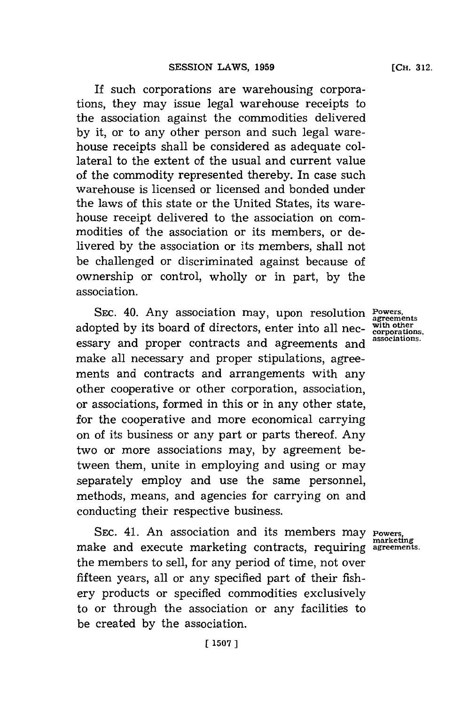If such corporations are warehousing corporations, they may issue legal warehouse receipts to the association against the commodities delivered **by** it, or to any other person and such legal warehouse receipts shall be considered as adequate collateral to the extent of the usual and current value of the commodity represented thereby. In case such warehouse is licensed or licensed and bonded under the laws of this state or the United States, its warehouse receipt delivered to the association on commodities of the association or its members, or delivered **by** the association or its members, shall not be challenged or discriminated against because of ownership or control, wholly or in part, **by** the association.

SEC. 40. Any association may, upon resolution **Powers**, adopted by its board of directors, enter into all nec-coprorations. essary and proper contracts and agreements and make all necessary and proper stipulations, agreements and contracts and arrangements with any other cooperative or other corporation, association, or associations, formed in this or in any other state, for the cooperative and more economical carrying on of its business or any part or parts thereof. Any two or more associations may, **by** agreement between them, unite in employing and using or may separately employ and use the same personnel, methods, means, and agencies for carrying on and conducting their respective business.

SEC. 41. An association and its members may make and execute marketing contracts, requiring **agreements.** the members to sell, for any period of time, not over fifteen years, all or any specified part of their fishery products or specified commodities exclusively to or through the association or any facilities to be created **by** the association.

**marketing**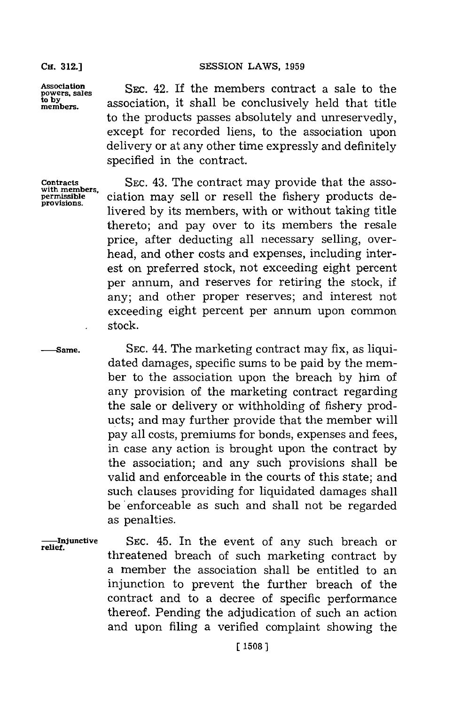**Association powers, sales**  $m$  embers.

**Contracts with members, permissible provisions.**

**-- Same.**

## **SESSION LAWS, 1959**

SEc. 42. If the members contract a sale to the association, it shall be conclusively held that title to the products passes absolutely and unreservedly, except for recorded liens, to the association upon delivery or at any other time expressly and definitely specified in the contract.

**SEC.** 43. The contract may provide that the association may sell or resell the fishery products delivered **by** its members, with or without taking title thereto; and pay over to its members the resale price, after deducting all necessary selling, overhead, and other costs and expenses, including interest on preferred stock, not exceeding eight percent per annum, and reserves for retiring the stock, if any; and other proper reserves; and interest not exceeding eight percent per annum upon common stock.

**SEC.** 44. The marketing contract may fix, as liquidated damages, specific sums to be paid by the member to the association upon the breach **by** him of any provision of the marketing contract regarding the sale or delivery or withholding of fishery products; and may further provide that the member will pay all costs, premiums for bonds, expenses and fees, in case any action is brought upon the contract **by** the association; and any such provisions shall be valid and enforceable in the courts of this state; and such clauses providing for liquidated damages shall **be'** enforceable as such and shall not be regarded as penalties.

**----Injunctive**<br>relief.

**SEC.** 45. In the event of any such breach or threatened breach of such marketing contract **by** a member the association shall be entitled to an injunction to prevent the further breach of the contract and to a decree of specific performance thereof. Pending the adjudication of such an action and upon filing a verified complaint showing the